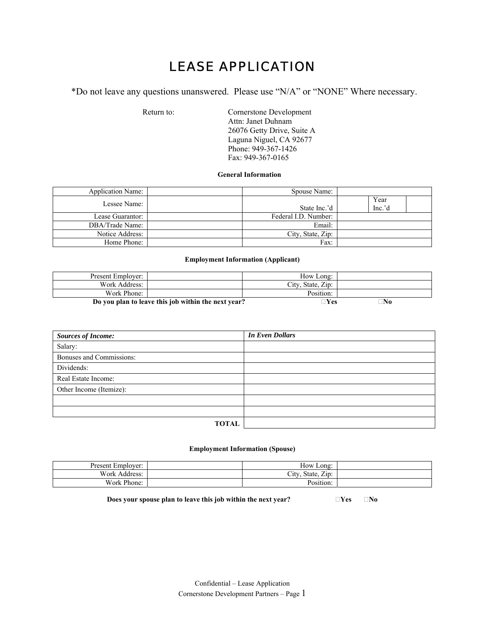# LEASE APPLICATION

\*Do not leave any questions unanswered. Please use "N/A" or "NONE" Where necessary.

Return to: Cornerstone Development Attn: Janet Duhnam 26076 Getty Drive, Suite A Laguna Niguel, CA 92677 Phone: 949-367-1426 Fax: 949-367-0165

## **General Information**

| <b>Application Name:</b> | Spouse Name:         |                |
|--------------------------|----------------------|----------------|
| Lessee Name:             | State Inc.'d         | Year<br>Inc.'d |
| Lease Guarantor:         | Federal I.D. Number: |                |
| DBA/Trade Name:          | Email:               |                |
| Notice Address:          | City, State, Zip:    |                |
| Home Phone:              | Fax:                 |                |

#### **Employment Information (Applicant)**

| Present Employer: |                                                     | How Long:         |    |
|-------------------|-----------------------------------------------------|-------------------|----|
| Work Address:     |                                                     | City, State, Zip: |    |
| Work Phone:       |                                                     | Position:         |    |
|                   | Do you plan to leave this job within the next year? | $\neg$ Yes        | ™o |

| <b>Sources of Income:</b> | <b>In Even Dollars</b> |
|---------------------------|------------------------|
| Salary:                   |                        |
| Bonuses and Commissions:  |                        |
| Dividends:                |                        |
| Real Estate Income:       |                        |
| Other Income (Itemize):   |                        |
|                           |                        |
|                           |                        |
| <b>TOTAL</b>              |                        |

#### **Employment Information (Spouse)**

| Present Employer: | How Long:                                          |  |
|-------------------|----------------------------------------------------|--|
| Work Address:     | $ \cdot$<br>— .<br>state.<br>$\angle$ 10.<br>City. |  |
| Work Phone:       | . .<br>Position:                                   |  |

**Does your spouse plan to leave this job within the next year?**  $\Box$  **Yes**  $\Box$  **No**  $\Box$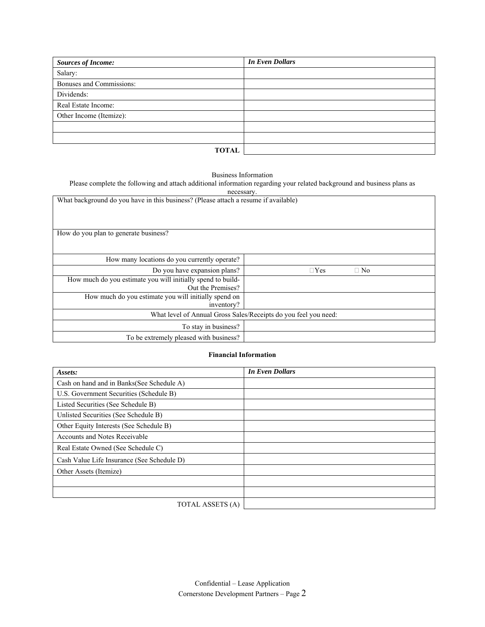| <b>Sources of Income:</b> | <b>In Even Dollars</b> |
|---------------------------|------------------------|
| Salary:                   |                        |
| Bonuses and Commissions:  |                        |
| Dividends:                |                        |
| Real Estate Income:       |                        |
| Other Income (Itemize):   |                        |
|                           |                        |
|                           |                        |
| <b>TOTAL</b>              |                        |

Business Information

Please complete the following and attach additional information regarding your related background and business plans as

| necessary.                                                                          |                         |  |  |  |  |  |
|-------------------------------------------------------------------------------------|-------------------------|--|--|--|--|--|
| What background do you have in this business? (Please attach a resume if available) |                         |  |  |  |  |  |
|                                                                                     |                         |  |  |  |  |  |
|                                                                                     |                         |  |  |  |  |  |
|                                                                                     |                         |  |  |  |  |  |
| How do you plan to generate business?                                               |                         |  |  |  |  |  |
|                                                                                     |                         |  |  |  |  |  |
|                                                                                     |                         |  |  |  |  |  |
| How many locations do you currently operate?                                        |                         |  |  |  |  |  |
|                                                                                     |                         |  |  |  |  |  |
| Do you have expansion plans?                                                        | $\Box$ No<br>$\Box$ Yes |  |  |  |  |  |
| How much do you estimate you will initially spend to build-                         |                         |  |  |  |  |  |
| Out the Premises?                                                                   |                         |  |  |  |  |  |
| How much do you estimate you will initially spend on                                |                         |  |  |  |  |  |
| inventory?                                                                          |                         |  |  |  |  |  |
| What level of Annual Gross Sales/Receipts do you feel you need:                     |                         |  |  |  |  |  |
| To stay in business?                                                                |                         |  |  |  |  |  |
| To be extremely pleased with business?                                              |                         |  |  |  |  |  |

### **Financial Information**

| Assets:                                    | <b>In Even Dollars</b> |
|--------------------------------------------|------------------------|
| Cash on hand and in Banks(See Schedule A)  |                        |
| U.S. Government Securities (Schedule B)    |                        |
| Listed Securities (See Schedule B)         |                        |
| Unlisted Securities (See Schedule B)       |                        |
| Other Equity Interests (See Schedule B)    |                        |
| <b>Accounts and Notes Receivable</b>       |                        |
| Real Estate Owned (See Schedule C)         |                        |
| Cash Value Life Insurance (See Schedule D) |                        |
| Other Assets (Itemize)                     |                        |
|                                            |                        |
|                                            |                        |
| TOTAL ASSETS (A)                           |                        |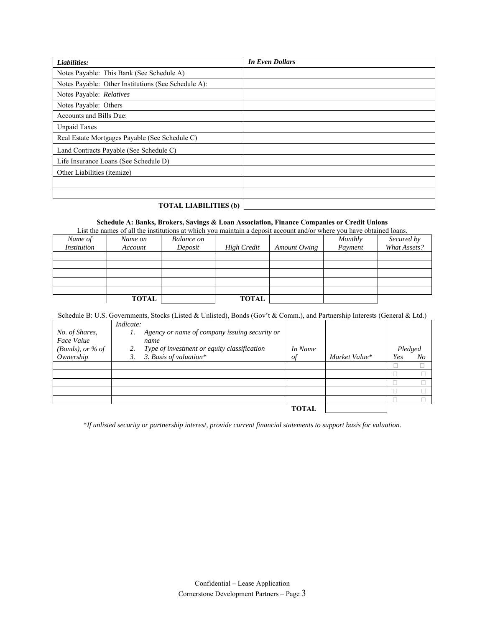| Liabilities:                                        | <b>In Even Dollars</b> |
|-----------------------------------------------------|------------------------|
| Notes Payable: This Bank (See Schedule A)           |                        |
| Notes Payable: Other Institutions (See Schedule A): |                        |
| Notes Payable: Relatives                            |                        |
| Notes Payable: Others                               |                        |
| Accounts and Bills Due:                             |                        |
| <b>Unpaid Taxes</b>                                 |                        |
| Real Estate Mortgages Payable (See Schedule C)      |                        |
| Land Contracts Payable (See Schedule C)             |                        |
| Life Insurance Loans (See Schedule D)               |                        |
| Other Liabilities (itemize)                         |                        |
|                                                     |                        |
|                                                     |                        |
| <b>TOTAL LIABILITIES (b)</b>                        |                        |

### **Schedule A: Banks, Brokers, Savings & Loan Association, Finance Companies or Credit Unions**

List the names of all the institutions at which you maintain a deposit account and/or where you have obtained loans.

| Name of<br><i>Institution</i> | Name on<br>Account | Balance on<br>Deposit | <b>High Credit</b> | Amount Owing | Monthly<br>Payment | Secured by<br>What Assets? |
|-------------------------------|--------------------|-----------------------|--------------------|--------------|--------------------|----------------------------|
|                               |                    |                       |                    |              |                    |                            |
|                               |                    |                       |                    |              |                    |                            |
|                               |                    |                       |                    |              |                    |                            |
|                               | <b>TOTAL</b>       |                       | <b>TOTAL</b>       |              |                    |                            |

# Schedule B: U.S. Governments, Stocks (Listed & Unlisted), Bonds (Gov't & Comm.), and Partnership Interests (General & Ltd.)

|                           | Indicate:                                         |         |               |         |    |
|---------------------------|---------------------------------------------------|---------|---------------|---------|----|
| No. of Shares,            | Agency or name of company issuing security or     |         |               |         |    |
| Face Value                | name                                              |         |               |         |    |
| ( <i>Bonds</i> ), or % of | Type of investment or equity classification<br>2. | In Name |               | Pledged |    |
| Ownership                 | 3. Basis of valuation*<br>3.                      | of      | Market Value* | Yes     | No |
|                           |                                                   |         |               |         |    |
|                           |                                                   |         |               |         |    |
|                           |                                                   |         |               |         |    |
|                           |                                                   |         |               |         |    |
|                           |                                                   |         |               |         |    |
|                           |                                                   | TOTAL   |               |         |    |

\**If unlisted security or partnership interest, provide current financial statements to support basis for valuation.*